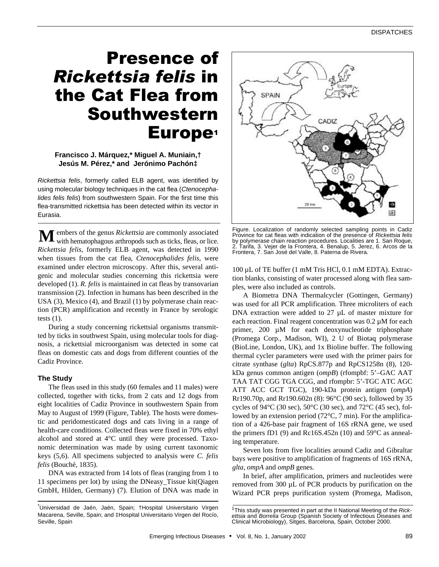# Presence of *Rickettsia felis* in the Cat Flea from Southwestern Europe<sup>1</sup>

## **Francisco J. Márquez,\* Miguel A. Muniain,† Jesús M. Pérez,\* and Jerónimo Pachón‡**

*Rickettsia felis*, formerly called ELB agent, was identified by using molecular biology techniques in the cat flea (*Ctenocephalides felis felis*) from southwestern Spain. For the first time this flea-transmitted rickettsia has been detected within its vector in Eurasia.

embers of the genus *Rickettsia* are commonly associated **M** embers of the genus *Rickettsia* are commonly associated with hematophagous arthropods such as ticks, fleas, or lice. *Rickettsia felis*, formerly ELB agent, was detected in 1990 when tissues from the cat flea, *Ctenocephalides felis,* were examined under electron microscopy. After this, several antigenic and molecular studies concerning this rickettsia were developed (1). *R. felis* is maintained in cat fleas by transovarian transmission (2). Infection in humans has been described in the USA (3), Mexico (4), and Brazil (1) by polymerase chain reaction (PCR) amplification and recently in France by serologic tests  $(1)$ .

During a study concerning rickettsial organisms transmitted by ticks in southwest Spain, using molecular tools for diagnosis, a rickettsial microorganism was detected in some cat fleas on domestic cats and dogs from different counties of the Cadiz Province.

### **The Study**

The fleas used in this study (60 females and 11 males) were collected, together with ticks, from 2 cats and 12 dogs from eight localities of Cadiz Province in southwestern Spain from May to August of 1999 (Figure, Table). The hosts were domestic and peridomesticated dogs and cats living in a range of health-care conditions. Collected fleas were fixed in 70% ethyl alcohol and stored at 4°C until they were processed. Taxonomic determination was made by using current taxonomic keys (5,6). All specimens subjected to analysis were *C. felis felis* (Bouché, 1835).

DNA was extracted from 14 lots of fleas (ranging from 1 to 11 specimens per lot) by using the DNeasy\_Tissue kit(Qiagen GmbH, Hilden, Germany) (7). Elution of DNA was made in



Figure. Localization of randomly selected sampling points in Cadiz Province for cat fleas with indication of the presence of *Rickettsia felis* by polymerase chain reaction procedures. Localities are 1. San Roque, 2. Tarifa, 3. Vejer de la Frontera, 4. Benalup, 5. Jerez, 6. Arcos de la Frontera, 7. San José del Valle, 8. Paterna de Rivera.

100 µL of TE buffer (1 mM Tris HCl, 0.1 mM EDTA). Extraction blanks, consisting of water processed along with flea samples, were also included as controls.

A Biometra DNA Thermalcycler (Gottingen, Germany) was used for all PCR amplification. Three microliters of each DNA extraction were added to  $27 \mu L$  of master mixture for each reaction. Final reagent concentration was 0.2 µM for each primer, 200 µM for each deoxynucleotide triphosphate (Promega Corp., Madison, WI), 2 U of Biotaq polymerase (BioLine, London, UK), and 1x Bioline buffer. The following thermal cycler parameters were used with the primer pairs for citrate synthase (*glta*) RpCS.877p and RpCS1258n (8), 120 kDa genus common antigen (*ompB*) (rfompbf: 5'–GAC AAT TAA TAT CGG TGA CGG, and rfompbr: 5'-TGC ATC AGC ATT ACC GCT TGC), 190-kDa protein antigen (*ompA*) Rr190.70p, and Rr190.602n (8): 96°C (90 sec), followed by 35 cycles of 94 $\rm{°C}$  (30 sec), 50 $\rm{°C}$  (30 sec), and 72 $\rm{°C}$  (45 sec), followed by an extension period (72°C, 7 min). For the amplification of a 426-base pair fragment of 16S rRNA gene, we used the primers fD1 (9) and Rc16S.452n (10) and 59°C as annealing temperature.

Seven lots from five localities around Cadiz and Gibraltar bays were positive to amplification of fragments of 16S rRNA, *glta*, *ompA* and *ompB* genes*.*

In brief, after amplification, primers and nucleotides were removed from 300 µL of PCR products by purification on the Wizard PCR preps purification system (Promega, Madison,

<sup>\*</sup>Universidad de Jaén, Jaén, Spain; †Hospital Universitario Virgen Macarena, Seville, Spain; and ‡Hospital Universitario Virgen del Rocío, Seville, Spain

<sup>1</sup>This study was presented in part at the II National Meeting of the *Rickettsia* and *Borrelia* Group (Spanish Society of Infectious Diseases and Clinical Microbiology), Sitges, Barcelona, Spain, October 2000.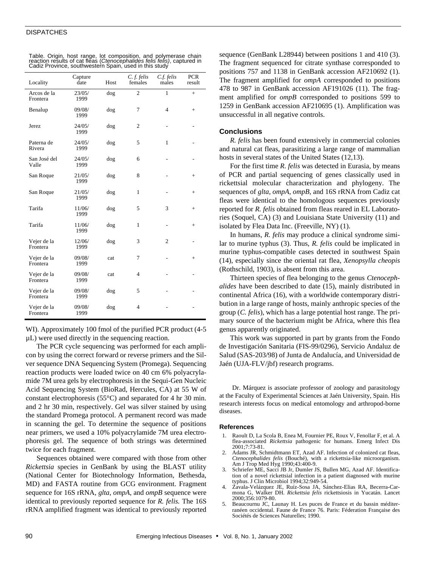#### **DISPATCHES**

| Locality                | Capture<br>date | Host | C.f. felis<br>females | $C$ f. felis<br>males | <b>PCR</b><br>result |
|-------------------------|-----------------|------|-----------------------|-----------------------|----------------------|
| Arcos de la<br>Frontera | 23/05/<br>1999  | dog  | $\overline{c}$        | $\mathbf{1}$          | $^{+}$               |
| Benalup                 | 09/08/<br>1999  | dog  | 7                     | $\overline{4}$        | $+$                  |
| Jerez                   | 24/05/<br>1999  | dog  | 2                     |                       | $\overline{a}$       |
| Paterna de<br>Rivera    | 24/05/<br>1999  | dog  | 5                     | $\mathbf{1}$          |                      |
| San José del<br>Valle   | 24/05/<br>1999  | dog  | 6                     |                       | ٠                    |
| San Roque               | 21/05/<br>1999  | dog  | 8                     |                       | $+$                  |
| San Roque               | 21/05/<br>1999  | dog  | $\mathbf{1}$          |                       | $+$                  |
| Tarifa                  | 11/06/<br>1999  | dog  | 5                     | 3                     | $+$                  |
| Tarifa                  | 11/06/<br>1999  | dog  | $\mathbf{1}$          | $\overline{a}$        | $+$                  |
| Vejer de la<br>Frontera | 12/06/<br>1999  | dog  | 3                     | $\overline{c}$        |                      |
| Vejer de la<br>Frontera | 09/08/<br>1999  | cat  | 7                     |                       | $+$                  |
| Vejer de la<br>Frontera | 09/08/<br>1999  | cat  | $\overline{4}$        |                       |                      |
| Vejer de la<br>Frontera | 09/08/<br>1999  | dog  | 5                     |                       |                      |
| Vejer de la<br>Frontera | 09/08/<br>1999  | dog  | 4                     |                       |                      |

| Table. Origin, host range, lot composition, and polymerase chain                                                                   |  |
|------------------------------------------------------------------------------------------------------------------------------------|--|
| reaction results of cat fleas (Ctenocephalides felis felis), captured in<br>Cadiz Province, southwestern Spain, used in this study |  |
|                                                                                                                                    |  |

WI). Approximately 100 fmol of the purified PCR product (4-5 µL) were used directly in the sequencing reaction.

The PCR cycle sequencing was performed for each amplicon by using the correct forward or reverse primers and the Silver sequence DNA Sequencing System (Promega). Sequencing reaction products were loaded twice on 40 cm 6% polyacrylamide 7M urea gels by electrophoresis in the Sequi-Gen Nucleic Acid Sequencing System (BioRad, Hercules, CA) at 55 W of constant electrophoresis (55°C) and separated for 4 hr 30 min. and 2 hr 30 min, respectively. Gel was silver stained by using the standard Promega protocol. A permanent record was made in scanning the gel. To determine the sequence of positions near primers, we used a 10% polyacrylamide 7M urea electrophoresis gel. The sequence of both strings was determined twice for each fragment.

Sequences obtained were compared with those from other *Rickettsia* species in GenBank by using the BLAST utility (National Center for Biotechnology Information, Bethesda, MD) and FASTA routine from GCG environment. Fragment sequence for 16S rRNA, *glta*, *ompA*, and *ompB* sequence were identical to previously reported sequence for *R. felis.* The 16S rRNA amplified fragment was identical to previously reported sequence (GenBank L28944) between positions 1 and 410 (3). The fragment sequenced for citrate synthase corresponded to positions 757 and 1138 in GenBank accession AF210692 (1). The fragment amplified for *ompA* corresponded to positions 478 to 987 in GenBank accession AF191026 (11). The fragment amplified for *ompB* corresponded to positions 599 to 1259 in GenBank accession AF210695 (1). Amplification was unsuccessful in all negative controls.

#### **Conclusions**

*R. felis* has been found extensively in commercial colonies and natural cat fleas, parasitizing a large range of mammalian hosts in several states of the United States (12,13).

For the first time *R. felis* was detected in Eurasia, by means of PCR and partial sequencing of genes classically used in rickettsial molecular characterization and phylogeny. The sequences of *glta*, *ompA, ompB,* and 16S rRNA from Cadiz cat fleas were identical to the homologous sequences previously reported for *R. felis* obtained from fleas reared in EL Laboratories (Soquel, CA) (3) and Louisiana State University (11) and isolated by Flea Data Inc. (Freeville, NY) (1).

In humans, *R. felis* may produce a clinical syndrome similar to murine typhus (3). Thus, *R. felis* could be implicated in murine typhus-compatible cases detected in southwest Spain (14), especially since the oriental rat flea, *Xenopsylla cheopis* (Rothschild, 1903), is absent from this area.

Thirteen species of flea belonging to the genus *Ctenocephalides* have been described to date (15), mainly distributed in continental Africa (16), with a worldwide contemporary distribution in a large range of hosts, mainly anthropic species of the group (*C. felis*), which has a large potential host range. The primary source of the bacterium might be Africa, where this flea genus apparently originated.

This work was supported in part by grants from the Fondo de Investigación Sanitaria (FIS-99/0296), Servicio Andaluz de Salud (SAS-203/98) of Junta de Andalucía, and Universidad de Jaén (UJA-FLV/jbf) research programs.

Dr. Márquez is associate professor of zoology and parasitology at the Faculty of Experimental Sciences at Jaén University, Spain. His research interests focus on medical entomology and arthropod-borne diseases.

#### **References**

- 1. Raoult D, La Scola B, Enea M, Fournier PE, Roux V, Fenollar F, et al. A flea-associated *Rickettsia* pathogenic for humans. Emerg Infect Dis 2001;7:73-81.
- Adams JR, Schmidtmann ET, Azad AF. Infection of colonized cat fleas, *Ctenocephalides felis* (Bouché), with a rickettsia-like microorganism. Am J Trop Med Hyg 1990;43:400-9.
- 3. Schriefer ME, Sacci JB Jr, Dumler JS, Bullen MG, Azad AF. Identification of a novel rickettsial infection in a patient diagnosed with murine typhus. J Clin Microbiol 1994;32:949-54.
- 4. Zavala-Velázquez JE, Ruíz-Sosa JA, Sánchez-Elias RA, Becerra-Carmona G, Walker DH. *Rickettsia felis* rickettsiosis in Yucatán. Lancet 2000;356:1079-80.
- 5. Beaucournu JC, Launay H. Les puces de France et du bassin méditerranéen occidental. Faune de France 76. Paris: Féderation Française des Sociétés de Sciences Naturelles; 1990.